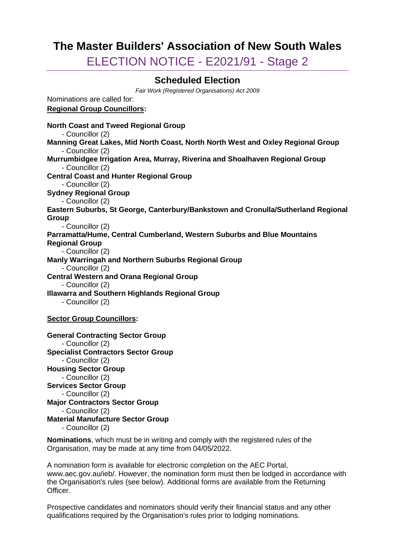# **The Master Builders' Association of New South Wales**

ELECTION NOTICE - E2021/91 - Stage 2

## **Scheduled Election**

*Fair Work (Registered Organisations) Act 2009*

Nominations are called for: **Regional Group Councillors:**

**North Coast and Tweed Regional Group** - Councillor (2) **Manning Great Lakes, Mid North Coast, North North West and Oxley Regional Group** - Councillor (2) **Murrumbidgee Irrigation Area, Murray, Riverina and Shoalhaven Regional Group** - Councillor (2) **Central Coast and Hunter Regional Group** - Councillor (2) **Sydney Regional Group** - Councillor (2) **Eastern Suburbs, St George, Canterbury/Bankstown and Cronulla/Sutherland Regional Group** - Councillor (2) **Parramatta/Hume, Central Cumberland, Western Suburbs and Blue Mountains Regional Group** - Councillor (2) **Manly Warringah and Northern Suburbs Regional Group** - Councillor (2) **Central Western and Orana Regional Group** - Councillor (2) **Illawarra and Southern Highlands Regional Group** - Councillor (2) **Sector Group Councillors: General Contracting Sector Group** - Councillor (2) **Specialist Contractors Sector Group** - Councillor (2) **Housing Sector Group** - Councillor (2) **Services Sector Group** - Councillor (2) **Major Contractors Sector Group** - Councillor (2)

**Material Manufacture Sector Group**

- Councillor (2)

**Nominations**, which must be in writing and comply with the registered rules of the Organisation, may be made at any time from 04/05/2022.

A nomination form is available for electronic completion on the AEC Portal, www.aec.gov.au/ieb/. However, the nomination form must then be lodged in accordance with the Organisation's rules (see below). Additional forms are available from the Returning Officer.

Prospective candidates and nominators should verify their financial status and any other qualifications required by the Organisation's rules prior to lodging nominations.